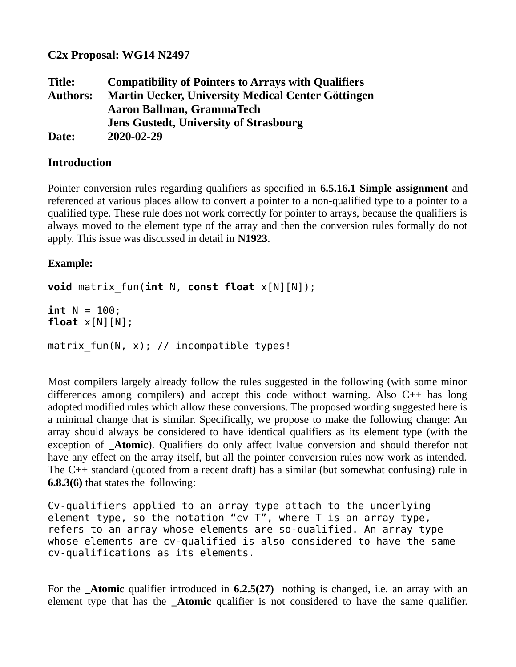**C2x Proposal: WG14 N2497**

**Title: Compatibility of Pointers to Arrays with Qualifiers Authors: Martin Uecker, University Medical Center Göttingen Aaron Ballman, GrammaTech Jens Gustedt, University of Strasbourg Date: 2020-02-29**

## **Introduction**

Pointer conversion rules regarding qualifiers as specified in **6.5.16.1 Simple assignment** and referenced at various places allow to convert a pointer to a non-qualified type to a pointer to a qualified type. These rule does not work correctly for pointer to arrays, because the qualifiers is always moved to the element type of the array and then the conversion rules formally do not apply. This issue was discussed in detail in **N1923**.

## **Example:**

```
void matrix_fun(int N, const float x[N][N]);
```
**int** N = 100; **float** x[N][N];

matrix fun(N, x); // incompatible types!

Most compilers largely already follow the rules suggested in the following (with some minor differences among compilers) and accept this code without warning. Also C++ has long adopted modified rules which allow these conversions. The proposed wording suggested here is a minimal change that is similar. Specifically, we propose to make the following change: An array should always be considered to have identical qualifiers as its element type (with the exception of **Atomic**). Qualifiers do only affect lvalue conversion and should therefor not have any effect on the array itself, but all the pointer conversion rules now work as intended. The C++ standard (quoted from a recent draft) has a similar (but somewhat confusing) rule in **6.8.3(6)** that states the following:

```
Cv-qualifiers applied to an array type attach to the underlying 
element type, so the notation "cv T", where T is an array type,
refers to an array whose elements are so-qualified. An array type 
whose elements are cv-qualified is also considered to have the same 
cv-qualifications as its elements.
```
For the **\_Atomic** qualifier introduced in **6.2.5(27)** nothing is changed, i.e. an array with an element type that has the **\_Atomic** qualifier is not considered to have the same qualifier.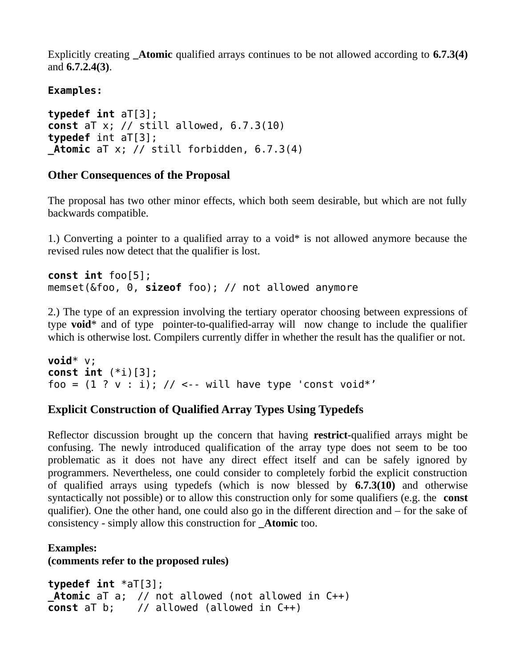Explicitly creating **\_Atomic** qualified arrays continues to be not allowed according to **6.7.3(4)** and **6.7.2.4(3)**.

## **Examples:**

```
typedef int aT[3];
const aT x; // still allowed, 6.7.3(10)
typedef int aT[3];
_Atomic aT x; // still forbidden, 6.7.3(4)
```
# **Other Consequences of the Proposal**

The proposal has two other minor effects, which both seem desirable, but which are not fully backwards compatible.

1.) Converting a pointer to a qualified array to a void\* is not allowed anymore because the revised rules now detect that the qualifier is lost.

```
const int foo[5];
memset(&foo, 0, sizeof foo); // not allowed anymore
```
2.) The type of an expression involving the tertiary operator choosing between expressions of type **void**\* and of type pointer-to-qualified-array will now change to include the qualifier which is otherwise lost. Compilers currently differ in whether the result has the qualifier or not.

```
void* v;
const int (*i)[3];
foo = (1 ? v : i); // <-- will have type 'const void*'
```
# **Explicit Construction of Qualified Array Types Using Typedefs**

Reflector discussion brought up the concern that having **restrict**-qualified arrays might be confusing. The newly introduced qualification of the array type does not seem to be too problematic as it does not have any direct effect itself and can be safely ignored by programmers. Nevertheless, one could consider to completely forbid the explicit construction of qualified arrays using typedefs (which is now blessed by **6.7.3(10)** and otherwise syntactically not possible) or to allow this construction only for some qualifiers (e.g. the **const** qualifier). One the other hand, one could also go in the different direction and – for the sake of consistency - simply allow this construction for **\_Atomic** too.

**Examples: (comments refer to the proposed rules)**

```
typedef int *aT[3];
_Atomic aT a; // not allowed (not allowed in C++)
const aT b; // allowed (allowed in C++)
```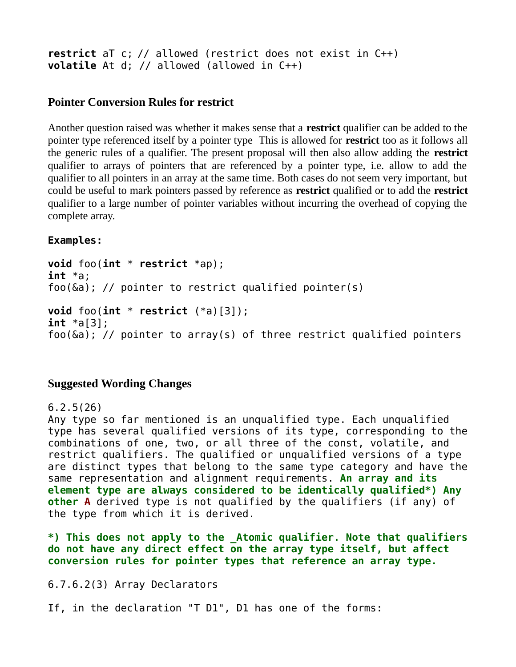**restrict** aT c; // allowed (restrict does not exist in C++) **volatile** At d; // allowed (allowed in C++)

#### **Pointer Conversion Rules for restrict**

Another question raised was whether it makes sense that a **restrict** qualifier can be added to the pointer type referenced itself by a pointer type This is allowed for **restrict** too as it follows all the generic rules of a qualifier. The present proposal will then also allow adding the **restrict** qualifier to arrays of pointers that are referenced by a pointer type, i.e. allow to add the qualifier to all pointers in an array at the same time. Both cases do not seem very important, but could be useful to mark pointers passed by reference as **restrict** qualified or to add the **restrict** qualifier to a large number of pointer variables without incurring the overhead of copying the complete array.

**Examples:**

```
void foo(int * restrict *ap);
int *a;
foo(&a); // pointer to restrict qualified pointer(s)
void foo(int * restrict (*a)[3]);
int *a[3];
foo(\delta a); // pointer to array(s) of three restrict qualified pointers
```
## **Suggested Wording Changes**

6.2.5(26)

Any type so far mentioned is an unqualified type. Each unqualified type has several qualified versions of its type, corresponding to the combinations of one, two, or all three of the const, volatile, and restrict qualifiers. The qualified or unqualified versions of a type are distinct types that belong to the same type category and have the same representation and alignment requirements. **An array and its element type are always considered to be identically qualified\*) Any other A** derived type is not qualified by the qualifiers (if any) of the type from which it is derived.

**\*) This does not apply to the \_Atomic qualifier. Note that qualifiers do not have any direct effect on the array type itself, but affect conversion rules for pointer types that reference an array type.**

6.7.6.2(3) Array Declarators

If, in the declaration "T D1", D1 has one of the forms: